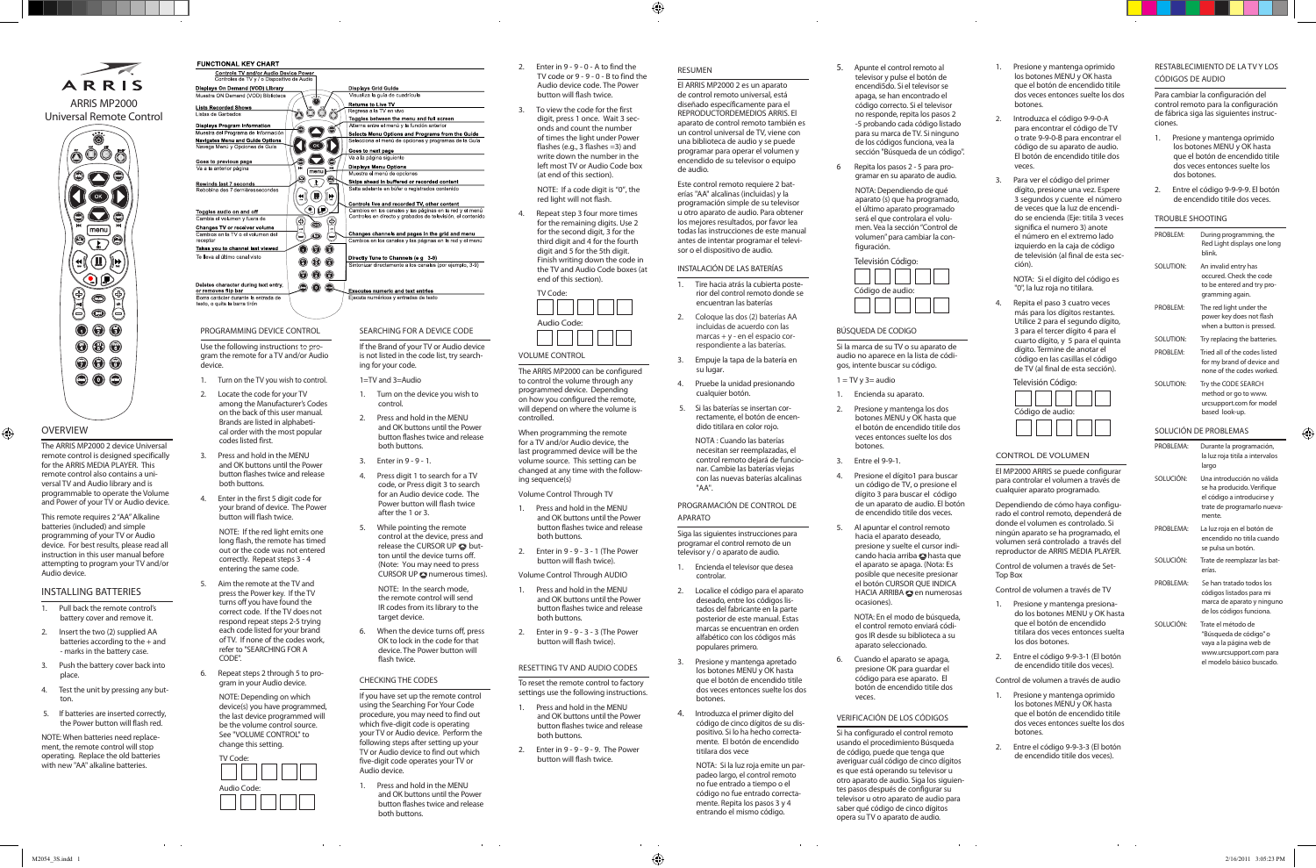Fold

**OVERVIEW**  $\bigoplus$ 

> The ARRIS MP2000 2 device Universal remote control is designed specifically for the ARRIS MEDIA PLAYER. This remote control also contains a universal TV and Audio library and is programmable to operate the Volume and Power of your TV or Audio device.

 $\odot$   $\odot$   $\odot$  $\bullet$   $\bullet$ 

This remote requires 2 "AA" Alkaline batteries (included) and simple programming of your TV or Audio device. For best results, please read all instruction in this user manual before attempting to program your TV and/or Audio device.

- 1. Turn on the TV you wish to control.
- 2. Locate the code for your TV among the Manufacturer's Codes on the back of this user manual. Brands are listed in alphabetical order with the most popular codes listed first.
- 3. Press and hold in the MENU and OK buttons until the Power button flashes twice and release both buttons.
- 4. Enter in the first 5 digit code for your brand of device. The Power .<br>button will flash twice.

# Installing Batteries

- 1. Pull back the remote control's battery cover and remove it.
- 2. Insert the two (2) supplied AA batteries according to the + and - marks in the battery case.
- 3. Push the battery cover back into place.
- 4. Test the unit by pressing any button. 5. If batteries are inserted correctly,
- the Power button will flash red.

NOTE: When batteries need replacement, the remote control will stop operating. Replace the old batteries with new "AA" alkaline batteries.

Use the following instructions to program the remote for a TV and/or Audio device.

#### **FUNCTIONAL KEY CHART** Controls TV and/or Audio Device Power<br>Controles de TV y / o Dispositivo de Audio Displays Grid Guide Displays On Demand (VOD) Library **Returns to Live TV**<br>Regresa a la TV en viv **Lists Recorded Shows** 000 0 Toggles between the menu and full screen Displays Program Informat<br>Muestra del Programa de Info  $\bullet$   $\bullet$ Selects Menu Options and Programs from the Guide Navigates Menu and Guide Options  $\bigcup_{i\in\mathbb{N}}\mathbb{C}_{i}$ Goes to next page  $\bullet$ Goes to previous page<br>Va a la anterior página **Displays Menu Option**  $\bullet$   $\overline{\odot}$   $\bullet$ Skips ahead in buffered or recorded conter **Rewinds last 7 seconds**<br>Rebobina des 7 dernières  $\bigl(\mathbf{H} \bigl(\mathbf{I}\bigr)\bigr)$ **Controls live and recorded TV, other content**<br>Cambios en los canales y las páginas en la red y el menú<br>Controles en directo y grabados de televisión, el contenid QQ Toggles audio on and off<br>Cambia el volumen y fuera de  $\bigcirc \bigcirc \bullet$ Changes TV or receiver volume<br>Cambios en la TV o el volumen d Changes channels and pages in the grid and menu  $\ominus$  , Takes you to channel last viewed  $\bullet$   $\bullet$   $\bullet$ Te lleva al último canal visto irectly Tune to Channels (e g 3-9)  $\circledcirc$ te a los canales (por ejemplo 3-9)  $\odot$   $\odot$   $\odot$ Deletes character during text entry  $\bullet\bullet\bullet$ or removes flip bar<br>Borra carácter durante la entrada de<br>texto, o quita la barra tirón **Executes numeric and text entries** programminG Device CONTROL Searching for a Device code

NOTE: If the red light emits one long flash, the remote has timed out or the code was not entered correctly. Repeat steps 3 - 4 entering the same code.



Press and hold in the MENU and OK buttons until the Power button flashes twice and release both buttons.

 $\bigcirc$  $\circ$   $\bullet$   $\circ$  $[menu]$  $\circ$  $(\mathbf{r}(\mathbf{r}))$ ۹D  $\begin{picture}(120,15) \put(0,0){\line(1,0){15}} \put(15,0){\line(1,0){15}} \put(15,0){\line(1,0){15}} \put(15,0){\line(1,0){15}} \put(15,0){\line(1,0){15}} \put(15,0){\line(1,0){15}} \put(15,0){\line(1,0){15}} \put(15,0){\line(1,0){15}} \put(15,0){\line(1,0){15}} \put(15,0){\line(1,0){15}} \put(15,0){\line(1,0){15}} \put(15,0){\line($ 606  $\odot$   $\odot$   $\odot$  $\circledcirc$   $\circledcirc$ 

- press the Power key. If the TV turns off you have found the correct code. If the TV does not respond repeat steps 2-5 trying each code listed for your brand of TV. If none of the codes work, refer to "SEARCHING FOR A  $CODF"$
- 6. Repeat steps 2 through 5 to program in your Audio device.
- 
- 
- 
- NOTE: Depending on which
- -

device(s) you have programmed, the last device programmed will be the volume control source. See "VOLUME CONTROL" to change this setting.



If the Brand of your TV or Audio device is not listed in the code list, try search-

ing for your code.

1=TV and 3=Audio 1. Turn on the device you wish to control.

2. Press and hold in the MENU and OK buttons until the Power button flashes twice and release both buttons.

- Press and hold in the MENU and OK buttons until the Power button flashes twice and release both buttons.
- 2. Enter in 9 9 3 1 (The Power button will flash twice).
- Volume Control Through AUDIO
- Press and hold in the MENU and OK buttons until the Power button flashes twice and release both buttons.
- 2. Enter in 9 9 3 3 (The Power button will flash twice).
- 3. Enter in 9 9 1.
- 4. Press digit 1 to search for a TV code, or Press digit 3 to search for an Audio device code. The Power button will flash twice after the 1 or 3.
- 5. While pointing the remote control at the device, press and release the CURSOR UP  $\bullet$  button until the device turns off. (Note: You may need to press CURSOR UP **O** numerous times).
- NOTE: In the search mode, the remote control will send IR codes from its library to the target device.
- When the device turns off press OK to lock in the code for that device. The Power button will flash twice.

# CHecking the Codes

If you have set up the remote control using the Searching For Your Code procedure, you may need to find out which five-digit code is operating your TV or Audio device. Perform the following steps after setting up your TV or Audio device to find out which five-digit code operates your TV or Audio device.

2. Enter in 9 - 9 - 0 - A to find the TV code or 9 - 9 - 0 - B to find the Audio device code. The Power button will flash twice. To view the code for the first digit, press 1 once. Wait 3 seconds and count the number of times the light under Power flashes (e.g., 3 flashes =3) and write down the number in the left most TV or Audio Code box (at end of this section). NOTE: If a code digit is "0", the red light will not flash. 4. Repeat step 3 four more times for the remaining digits. Use 2 for the second digit, 3 for the third digit and 4 for the fourth digit and 5 for the 5th digit. Finish writing down the code in

the TV and Audio Code boxes (at end of this section). TV Code: Audio Code:

> Volume Control The ARRIS MP2000 can be configured

to control the volume through any programmed device. Depending on how you configured the remote, will depend on where the volume is controlled.

When programming the remote for a TV and/or Audio device, the last programmed device will be the volume source. This setting can be changed at any time with the following sequence(s)

Volume Control Through TV

RESETTING TV and AUDIO CODES To reset the remote control to factory settings use the following instructions. 1. Press and hold in the MENU and OK buttons until the Power button flashes twice and release

both buttons.

2. Enter in 9 - 9 - 9 - 9. The Power button will flash twice.

# RESUMEN

 $\bigoplus$ 

El ARRIS MP2000 2 es un aparato de control remoto universal, está diseñado específicamente para el REPRODUCTORDEMEDIOS ARRIS. El aparato de control remoto también es un control universal de TV, viene con una biblioteca de audio y se puede programar para operar el volumen y encendido de su televisor o equipo de audio.

Este control remoto requiere 2 baterías "AA" alcalinas (incluidas) y la programación simple de su televisor u otro aparato de audio. Para obtener los mejores resultados, por favor lea todas las instrucciones de este manual antes de intentar programar el televisor o el dispositivo de audio.

# INSTALACIÓN DE LAS BATERÍAS

- 1. Tire hacia atrás la cubierta posterior del control remoto donde se encuentran las baterías
- 2. Coloque las dos (2) baterías AA incluidas de acuerdo con las marcas + y - en el espacio correspondiente a las baterías.
- 3. Empuje la tapa de la batería en su lugar.
- 4. Pruebe la unidad presionando cualquier botón.
- 5. Si las baterías se insertan correctamente, el botón de encendido titilara en color rojo.

 NOTA : Cuando las baterías necesitan ser reemplazadas, el control remoto dejará de funcionar. Cambie las baterías viejas con las nuevas baterías alcalinas "AA".

PROGRAMACIÓN DE CONTROL DE APARATO

Siga las siguientes instrucciones para programar el control remoto de un televisor y / o aparato de audio.

- 1. Encienda el televisor que desea controlar.
- 2. Localice el código para el aparato
- 3. Presione y mantenga apretado
- 
- deseado, entre los códigos listados del fabricante en la parte posterior de este manual. Estas marcas se encuentran en orden alfabético con los códigos más populares primero.
- los botones MENU y OK hasta que el botón de encendido titile dos veces entonces suelte los dos botones.
- 4. Introduzca el primer dígito del código de cinco dígitos de su dispositivo. Si lo ha hecho correctamente. El botón de encendido titilara dos vece

 $\bigoplus$ 

NOTA: Si la luz roja emite un parpadeo largo, el control remoto no fue entrado a tiempo o el código no fue entrado correctamente. Repita los pasos 3 y 4

entrando el mismo código.

#### encendi5do. Si el televisor se apaga, se han encontrado el código correcto. Si el televisor no responde, repita los pasos 2 -5 probando cada código listado para su marca de TV. Si ninguno de los códigos funciona, vea la sección "Búsqueda de un código".

6 Repita los pasos 2 - 5 para programar en su aparato de audio.

- 5. Apunte el control remoto al televisor y pulse el botón de
	-
	-
	-
	-
	- el botón de encendido titile dos
		-

- 
- 

NOTA: Dependiendo de qué aparato (s) que ha programado, el último aparato programado será el que controlara el volumen. Vea la sección "Control de volumen" para cambiar la configuración.

Televisión Código: Código de audio:

#### BÚSQUEDA DE CODIGO

Si la marca de su TV o su aparato de audio no aparece en la lista de códigos, intente buscar su código.

 $1 = TV y$  3 = audio

veces entonces suelte los dos botones. 4. Presione el dígito1 para buscar

- 1. Encienda su aparato.
- 2. Presione y mantenga los dos botones MENU y OK hasta que
	- un código de TV, o presione el dígito 3 para buscar el código de un aparato de audio. El botón de encendido titile dos veces.
	- hacia el aparato deseado, presione y suelte el cursor indicando hacia arriba **h**asta que el aparato se apaga. (Nota: Es posible que necesite presionar el botón CURSOR QUE INDICA
	- el control remoto enviará códigos IR desde su biblioteca a su aparato seleccionado.
	- presione OK para guardar el código para ese aparato. El botón de encendido titile dos veces.
- 3. Entre el 9-9-1.
- 5. Al apuntar el control remoto
	- HACIA ARRIBA **en numerosas** ocasiones). NOTA: En el modo de búsqueda,
- 6. Cuando el aparato se apaga,

#### VERIFICACIÓN DE LOS CÓDIGOS Si ha configurado el control remoto usando el procedimiento Búsqueda de código, puede que tenga que averiguar cuál código de cinco dígitos es que está operando su televisor u otro aparato de audio. Siga los siguientes pasos después de configurar su televisor u otro aparato de audio para saber qué código de cinco dígitos opera su TV o aparato de audio.

1. Presione y mantenga oprimido los botones MENU y OK hasta que el botón de encendido titile dos veces entonces suelte los dos botones.

 $\overline{\phantom{a}}$ 

- 2. Introduzca el código 9-9-0-A para encontrar el código de TV o trate 9-9-0-B para encontrar el código de su aparato de audio. El botón de encendido titile dos veces.
- 3. Para ver el código del primer dígito, presione una vez. Espere 3 segundos y cuente el número de veces que la luz de encendido se encienda (Eje: titila 3 veces significa el numero 3) anote el número en el extremo lado izquierdo en la caja de código de televisión (al final de esta sección).

 NOTA: Si el dígito del código es "0", la luz roja no titilara.

4. Repita el paso 3 cuatro veces más para los dígitos restantes. Utilice 2 para el segundo dígito, 3 para el tercer dígito 4 para el cuarto dígito, y 5 para el quinta dígito. Termine de anotar el código en las casillas el código de TV (al final de esta sección).



# CONTROL DE VOLUMEN

El MP2000 ARRIS se puede configurar para controlar el volumen a través de cualquier aparato programado.

Dependiendo de cómo haya configurado el control remoto, dependerá de donde el volumen es controlado. Si ningún aparato se ha programado, el volumen será controlado a través del reproductor de ARRIS MEDIA PLAYER.

Control de volumen a través de Set-Top Box

Control de volumen a través de TV

- 1. Presione y mantenga presionado los botones MENU y OK hasta que el botón de encendido titilara dos veces entonces suelta los dos botones.
- 2. Entre el código 9-9-3-1 (El botón de encendido titile dos veces).

Control de volumen a través de audio

- 1. Presione y mantenga oprimido los botones MENU y OK hasta que el botón de encendido titile dos veces entonces suelte los dos botones.
- 2. Entre el código 9-9-3-3 (El botón de encendido titile dos veces).

### Restablecimiento de la TV y los códigos de audio

Para cambiar la configuración del control remoto para la configuración de fábrica siga las siguientes instrucciones.

- 1. Presione y mantenga oprimido los botones MENU y OK hasta que el botón de encendido titile dos veces entonces suelte los dos botones.
- 2. Entre el código 9-9-9-9. El botón de encendido titile dos veces.

#### Trouble shooting

| PROBLEM:  | During programming, the<br>Red Light displays one long<br><b>blink</b>                           |
|-----------|--------------------------------------------------------------------------------------------------|
| SOLUTION: | An invalid entry has<br>occured. Check the code<br>to be entered and try pro-<br>gramming again. |
| PROBLEM:  | The red light under the<br>power key does not flash<br>when a button is pressed.                 |
| SOLUTION: | Try replacing the batteries.                                                                     |
| PROBLEM:  | Tried all of the codes listed<br>for my brand of device and<br>none of the codes worked.         |
| SOLUTION: | Try the CODE SEARCH<br>method or go to www.<br>urcsupport.com for model<br>based look-up.        |

#### SOLUCIÓN DE PROBLEMAS

 $\bigoplus$ 

| PROBLEMA: | Durante la programación,<br>la luz roja titila a intervalos<br>largo                                                            |
|-----------|---------------------------------------------------------------------------------------------------------------------------------|
| SOLUCIÓN: | Una introducción no válida<br>se ha producido. Verifique<br>el código a introducirse y<br>trate de programarlo nueva-<br>mente. |
| PROBLEMA: | La luz roja en el botón de<br>encendido no titila cuando<br>se pulsa un botón.                                                  |
| SOLUCIÓN: | Trate de reemplazar las bat-<br>erías.                                                                                          |
| PROBLEMA: | Se han tratado todos los<br>códigos listados para mi<br>marca de aparato y ninguno<br>de los códigos funciona.                  |
| SOLUCIÓN· | Trate el método de<br>"Búsqueda de código" o<br>vaya a la página web de<br>www.urcsupport.com para<br>el modelo básico buscado. |

ARRIS MP2000 Universal Remote Control

600ō

 $\bullet$   $\bullet$ 

ARRIS